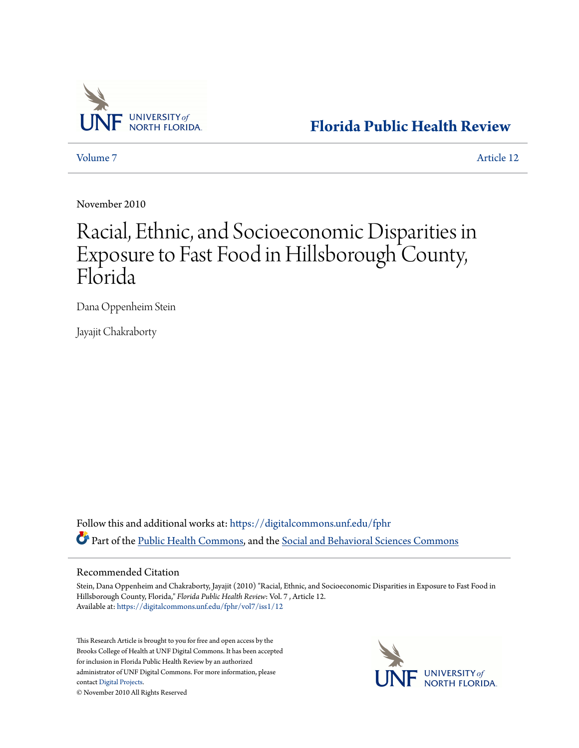

**[Florida Public Health Review](https://digitalcommons.unf.edu/fphr?utm_source=digitalcommons.unf.edu%2Ffphr%2Fvol7%2Fiss1%2F12&utm_medium=PDF&utm_campaign=PDFCoverPages)**

[Volume 7](https://digitalcommons.unf.edu/fphr/vol7?utm_source=digitalcommons.unf.edu%2Ffphr%2Fvol7%2Fiss1%2F12&utm_medium=PDF&utm_campaign=PDFCoverPages) [Article 12](https://digitalcommons.unf.edu/fphr/vol7/iss1/12?utm_source=digitalcommons.unf.edu%2Ffphr%2Fvol7%2Fiss1%2F12&utm_medium=PDF&utm_campaign=PDFCoverPages)

November 2010

## Racial, Ethnic, and Socioeconomic Disparities in Exposure to Fast Food in Hillsborough County, Florida

Dana Oppenheim Stein

Jayajit Chakraborty

Follow this and additional works at: [https://digitalcommons.unf.edu/fphr](https://digitalcommons.unf.edu/fphr?utm_source=digitalcommons.unf.edu%2Ffphr%2Fvol7%2Fiss1%2F12&utm_medium=PDF&utm_campaign=PDFCoverPages) Part of the [Public Health Commons,](http://network.bepress.com/hgg/discipline/738?utm_source=digitalcommons.unf.edu%2Ffphr%2Fvol7%2Fiss1%2F12&utm_medium=PDF&utm_campaign=PDFCoverPages) and the [Social and Behavioral Sciences Commons](http://network.bepress.com/hgg/discipline/316?utm_source=digitalcommons.unf.edu%2Ffphr%2Fvol7%2Fiss1%2F12&utm_medium=PDF&utm_campaign=PDFCoverPages)

## Recommended Citation

Stein, Dana Oppenheim and Chakraborty, Jayajit (2010) "Racial, Ethnic, and Socioeconomic Disparities in Exposure to Fast Food in Hillsborough County, Florida," *Florida Public Health Review*: Vol. 7 , Article 12. Available at: [https://digitalcommons.unf.edu/fphr/vol7/iss1/12](https://digitalcommons.unf.edu/fphr/vol7/iss1/12?utm_source=digitalcommons.unf.edu%2Ffphr%2Fvol7%2Fiss1%2F12&utm_medium=PDF&utm_campaign=PDFCoverPages)

This Research Article is brought to you for free and open access by the Brooks College of Health at UNF Digital Commons. It has been accepted for inclusion in Florida Public Health Review by an authorized administrator of UNF Digital Commons. For more information, please contact [Digital Projects.](mailto:lib-digital@unf.edu)



© November 2010 All Rights Reserved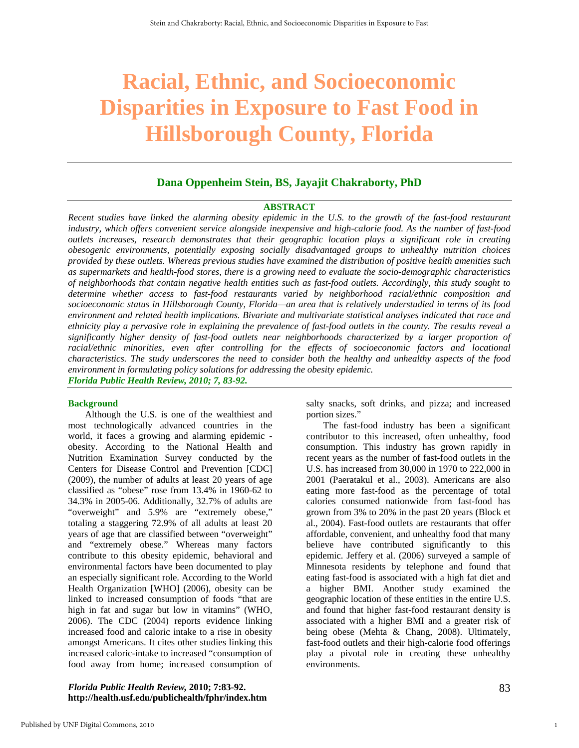# **Racial, Ethnic, and Socioeconomic Disparities in Exposure to Fast Food in Hillsborough County, Florida**

## **Dana Oppenheim Stein, BS, Jayajit Chakraborty, PhD**

#### **ABSTRACT**

*Recent studies have linked the alarming obesity epidemic in the U.S. to the growth of the fast-food restaurant industry, which offers convenient service alongside inexpensive and high-calorie food. As the number of fast-food outlets increases, research demonstrates that their geographic location plays a significant role in creating obesogenic environments, potentially exposing socially disadvantaged groups to unhealthy nutrition choices provided by these outlets. Whereas previous studies have examined the distribution of positive health amenities such as supermarkets and health-food stores, there is a growing need to evaluate the socio-demographic characteristics of neighborhoods that contain negative health entities such as fast-food outlets. Accordingly, this study sought to determine whether access to fast-food restaurants varied by neighborhood racial/ethnic composition and socioeconomic status in Hillsborough County, Florida—an area that is relatively understudied in terms of its food environment and related health implications. Bivariate and multivariate statistical analyses indicated that race and ethnicity play a pervasive role in explaining the prevalence of fast-food outlets in the county. The results reveal a significantly higher density of fast-food outlets near neighborhoods characterized by a larger proportion of racial/ethnic minorities, even after controlling for the effects of socioeconomic factors and locational characteristics. The study underscores the need to consider both the healthy and unhealthy aspects of the food environment in formulating policy solutions for addressing the obesity epidemic. Florida Public Health Review, 2010; 7, 83-92.* 

#### **Background**

Although the U.S. is one of the wealthiest and most technologically advanced countries in the world, it faces a growing and alarming epidemic obesity. According to the National Health and Nutrition Examination Survey conducted by the Centers for Disease Control and Prevention [CDC] (2009), the number of adults at least 20 years of age classified as "obese" rose from 13.4% in 1960-62 to 34.3% in 2005-06. Additionally, 32.7% of adults are "overweight" and 5.9% are "extremely obese," totaling a staggering 72.9% of all adults at least 20 years of age that are classified between "overweight" and "extremely obese." Whereas many factors contribute to this obesity epidemic, behavioral and environmental factors have been documented to play an especially significant role. According to the World Health Organization [WHO] (2006), obesity can be linked to increased consumption of foods "that are high in fat and sugar but low in vitamins" (WHO, 2006). The CDC (2004) reports evidence linking increased food and caloric intake to a rise in obesity amongst Americans. It cites other studies linking this increased caloric-intake to increased "consumption of food away from home; increased consumption of

#### *Florida Public Health Review,* **2010; 7:83-92. http://health.usf.edu/publichealth/fphr/index.htm**

salty snacks, soft drinks, and pizza; and increased portion sizes."

The fast-food industry has been a significant contributor to this increased, often unhealthy, food consumption. This industry has grown rapidly in recent years as the number of fast-food outlets in the U.S. has increased from 30,000 in 1970 to 222,000 in 2001 (Paeratakul et al., 2003). Americans are also eating more fast-food as the percentage of total calories consumed nationwide from fast-food has grown from 3% to 20% in the past 20 years (Block et al., 2004). Fast-food outlets are restaurants that offer affordable, convenient, and unhealthy food that many believe have contributed significantly to this epidemic. Jeffery et al. (2006) surveyed a sample of Minnesota residents by telephone and found that eating fast-food is associated with a high fat diet and a higher BMI. Another study examined the geographic location of these entities in the entire U.S. and found that higher fast-food restaurant density is associated with a higher BMI and a greater risk of being obese (Mehta & Chang, 2008). Ultimately, fast-food outlets and their high-calorie food offerings play a pivotal role in creating these unhealthy environments.

1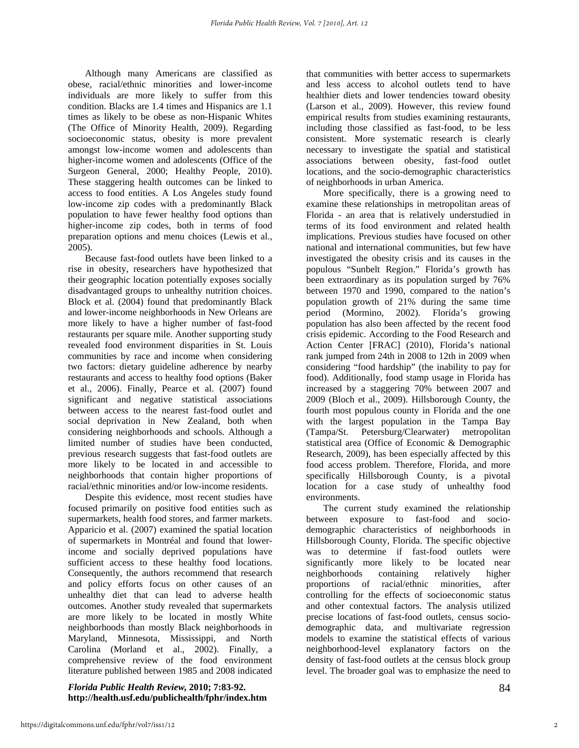Although many Americans are classified as obese, racial/ethnic minorities and lower-income individuals are more likely to suffer from this condition. Blacks are 1.4 times and Hispanics are 1.1 times as likely to be obese as non-Hispanic Whites (The Office of Minority Health, 2009). Regarding socioeconomic status, obesity is more prevalent amongst low-income women and adolescents than higher-income women and adolescents (Office of the Surgeon General, 2000; Healthy People, 2010). These staggering health outcomes can be linked to access to food entities. A Los Angeles study found low-income zip codes with a predominantly Black population to have fewer healthy food options than higher-income zip codes, both in terms of food preparation options and menu choices (Lewis et al., 2005).

Because fast-food outlets have been linked to a rise in obesity, researchers have hypothesized that their geographic location potentially exposes socially disadvantaged groups to unhealthy nutrition choices. Block et al. (2004) found that predominantly Black and lower-income neighborhoods in New Orleans are more likely to have a higher number of fast-food restaurants per square mile. Another supporting study revealed food environment disparities in St. Louis communities by race and income when considering two factors: dietary guideline adherence by nearby restaurants and access to healthy food options (Baker et al., 2006). Finally, Pearce et al. (2007) found significant and negative statistical associations between access to the nearest fast-food outlet and social deprivation in New Zealand, both when considering neighborhoods and schools. Although a limited number of studies have been conducted, previous research suggests that fast-food outlets are more likely to be located in and accessible to neighborhoods that contain higher proportions of racial/ethnic minorities and/or low-income residents.

Despite this evidence, most recent studies have focused primarily on positive food entities such as supermarkets, health food stores, and farmer markets. Apparicio et al. (2007) examined the spatial location of supermarkets in Montréal and found that lowerincome and socially deprived populations have sufficient access to these healthy food locations. Consequently, the authors recommend that research and policy efforts focus on other causes of an unhealthy diet that can lead to adverse health outcomes. Another study revealed that supermarkets are more likely to be located in mostly White neighborhoods than mostly Black neighborhoods in Maryland, Minnesota, Mississippi, and North Carolina (Morland et al., 2002). Finally, a comprehensive review of the food environment literature published between 1985 and 2008 indicated

*Florida Public Health Review,* **2010; 7:83-92. http://health.usf.edu/publichealth/fphr/index.htm** 

that communities with better access to supermarkets and less access to alcohol outlets tend to have healthier diets and lower tendencies toward obesity (Larson et al., 2009). However, this review found empirical results from studies examining restaurants, including those classified as fast-food, to be less consistent. More systematic research is clearly necessary to investigate the spatial and statistical associations between obesity, fast-food outlet locations, and the socio-demographic characteristics of neighborhoods in urban America.

More specifically, there is a growing need to examine these relationships in metropolitan areas of Florida - an area that is relatively understudied in terms of its food environment and related health implications. Previous studies have focused on other national and international communities, but few have investigated the obesity crisis and its causes in the populous "Sunbelt Region." Florida's growth has been extraordinary as its population surged by 76% between 1970 and 1990, compared to the nation's population growth of 21% during the same time period (Mormino, 2002). Florida's growing population has also been affected by the recent food crisis epidemic. According to the Food Research and Action Center [FRAC] (2010), Florida's national rank jumped from 24th in 2008 to 12th in 2009 when considering "food hardship" (the inability to pay for food). Additionally, food stamp usage in Florida has increased by a staggering 70% between 2007 and 2009 (Bloch et al., 2009). Hillsborough County, the fourth most populous county in Florida and the one with the largest population in the Tampa Bay (Tampa/St. Petersburg/Clearwater) metropolitan statistical area (Office of Economic & Demographic Research, 2009), has been especially affected by this food access problem. Therefore, Florida, and more specifically Hillsborough County, is a pivotal location for a case study of unhealthy food environments.

The current study examined the relationship between exposure to fast-food and sociodemographic characteristics of neighborhoods in Hillsborough County, Florida. The specific objective was to determine if fast-food outlets were significantly more likely to be located near neighborhoods containing relatively higher proportions of racial/ethnic minorities, after controlling for the effects of socioeconomic status and other contextual factors. The analysis utilized precise locations of fast-food outlets, census sociodemographic data, and multivariate regression models to examine the statistical effects of various neighborhood-level explanatory factors on the density of fast-food outlets at the census block group level. The broader goal was to emphasize the need to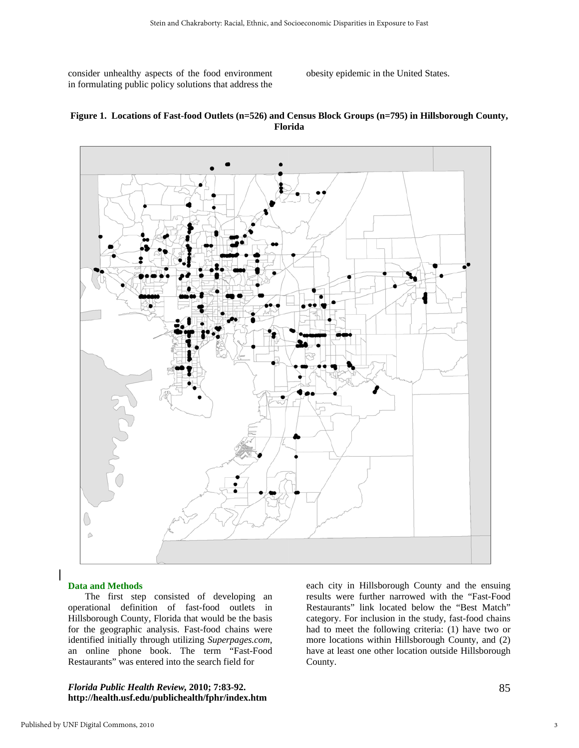consider unhealthy aspects of the food environment in formulating public policy solutions that address the

obesity epidemic in the United States.





#### **Data and Methods**

The first step consisted of developing an operational definition of fast-food outlets in Hillsborough County, Florida that would be the basis for the geographic analysis. Fast-food chains were identified initially through utilizing *Superpages.com*, an online phone book. The term "Fast-Food Restaurants" was entered into the search field for

#### *Florida Public Health Review,* **2010; 7:83-92. http://health.usf.edu/publichealth/fphr/index.htm**

each city in Hillsborough County and the ensuing results were further narrowed with the "Fast-Food Restaurants" link located below the "Best Match" category. For inclusion in the study, fast-food chains had to meet the following criteria: (1) have two or more locations within Hillsborough County, and (2) have at least one other location outside Hillsborough County.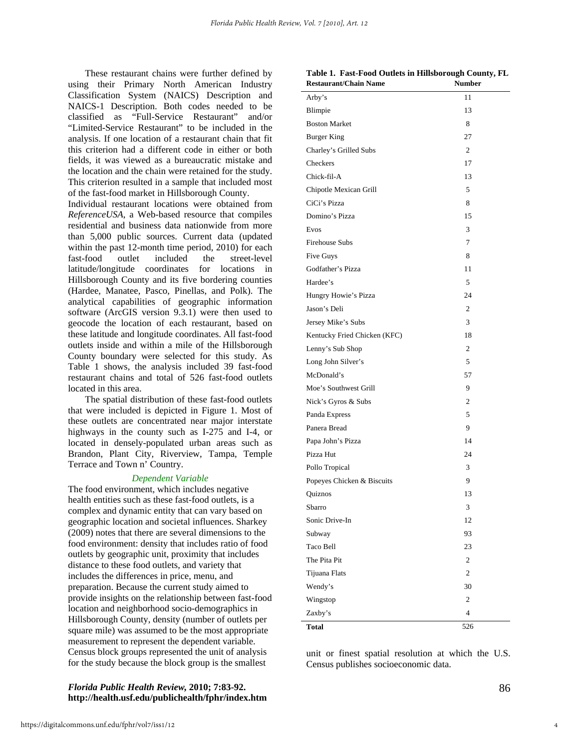These restaurant chains were further defined by using their Primary North American Industry Classification System (NAICS) Description and NAICS-1 Description. Both codes needed to be classified as "Full-Service Restaurant" and/or "Limited-Service Restaurant" to be included in the analysis. If one location of a restaurant chain that fit this criterion had a different code in either or both fields, it was viewed as a bureaucratic mistake and the location and the chain were retained for the study. This criterion resulted in a sample that included most of the fast-food market in Hillsborough County.

Individual restaurant locations were obtained from *ReferenceUSA*, a Web-based resource that compiles residential and business data nationwide from more than 5,000 public sources. Current data (updated within the past 12-month time period, 2010) for each fast-food outlet included the street-level latitude/longitude coordinates for locations in Hillsborough County and its five bordering counties (Hardee, Manatee, Pasco, Pinellas, and Polk). The analytical capabilities of geographic information software (ArcGIS version 9.3.1) were then used to geocode the location of each restaurant, based on these latitude and longitude coordinates. All fast-food outlets inside and within a mile of the Hillsborough County boundary were selected for this study. As Table 1 shows, the analysis included 39 fast-food restaurant chains and total of 526 fast-food outlets located in this area.

The spatial distribution of these fast-food outlets that were included is depicted in Figure 1. Most of these outlets are concentrated near major interstate highways in the county such as I-275 and I-4, or located in densely-populated urban areas such as Brandon, Plant City, Riverview, Tampa, Temple Terrace and Town n' Country.

#### *Dependent Variable*

The food environment, which includes negative health entities such as these fast-food outlets, is a complex and dynamic entity that can vary based on geographic location and societal influences. Sharkey (2009) notes that there are several dimensions to the food environment: density that includes ratio of food outlets by geographic unit, proximity that includes distance to these food outlets, and variety that includes the differences in price, menu, and preparation. Because the current study aimed to provide insights on the relationship between fast-food location and neighborhood socio-demographics in Hillsborough County, density (number of outlets per square mile) was assumed to be the most appropriate measurement to represent the dependent variable. Census block groups represented the unit of analysis for the study because the block group is the smallest

#### *Florida Public Health Review,* **2010; 7:83-92. http://health.usf.edu/publichealth/fphr/index.htm**

|                                      | Table 1. Fast-Food Outlets in Hillsborough County, FL |  |
|--------------------------------------|-------------------------------------------------------|--|
| $D_{\alpha}$ ctaurant/ $C$ hain Nama | Numbor                                                |  |

| <b>Restaurant/Chain Name</b> | <b>Number</b>  |
|------------------------------|----------------|
| Arby's                       | 11             |
| Blimpie                      | 13             |
| <b>Boston Market</b>         | 8              |
| <b>Burger King</b>           | 27             |
| Charley's Grilled Subs       | $\overline{2}$ |
| Checkers                     | 17             |
| Chick-fil-A                  | 13             |
| Chipotle Mexican Grill       | 5              |
| CiCi's Pizza                 | 8              |
| Domino's Pizza               | 15             |
| Evos                         | 3              |
| <b>Firehouse Subs</b>        | 7              |
| <b>Five Guys</b>             | 8              |
| Godfather's Pizza            | 11             |
| Hardee's                     | 5              |
| Hungry Howie's Pizza         | 24             |
| Jason's Deli                 | $\overline{2}$ |
| Jersey Mike's Subs           | 3              |
| Kentucky Fried Chicken (KFC) | 18             |
| Lenny's Sub Shop             | 2              |
| Long John Silver's           | 5              |
| McDonald's                   | 57             |
| Moe's Southwest Grill        | 9              |
| Nick's Gyros & Subs          | 2              |
| Panda Express                | 5              |
| Panera Bread                 | 9              |
| Papa John's Pizza            | 14             |
| Pizza Hut                    | 24             |
| Pollo Tropical               | 3              |
| Popeyes Chicken & Biscuits   | 9              |
| Quiznos                      | 13             |
| Sbarro                       | 3              |
| Sonic Drive-In               | 12             |
| Subway                       | 93             |
| Taco Bell                    | 23             |
| The Pita Pit                 | $\overline{c}$ |
| Tijuana Flats                | $\overline{c}$ |
| Wendy's                      | 30             |
| Wingstop                     | $\mathfrak{2}$ |
| Zaxby's                      | 4              |
| <b>Total</b>                 | 526            |

unit or finest spatial resolution at which the U.S. Census publishes socioeconomic data.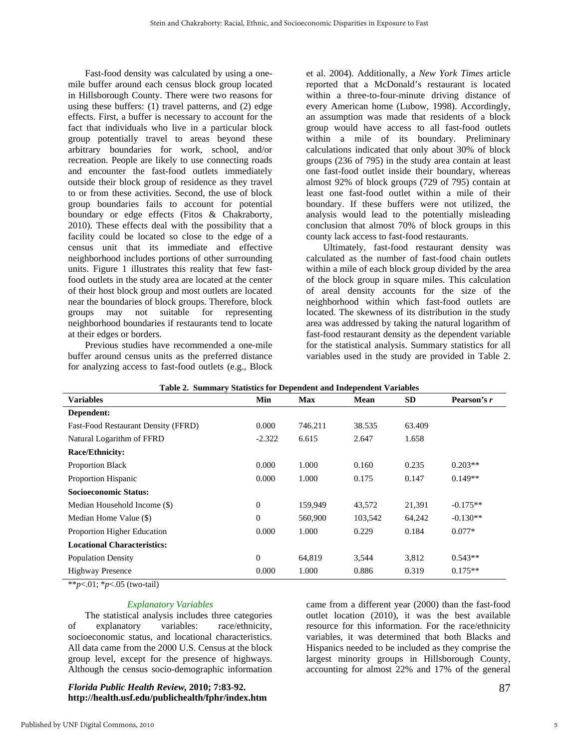Fast-food density was calculated by using a onemile buffer around each census block group located in Hillsborough County. There were two reasons for using these buffers: (1) travel patterns, and (2) edge effects. First, a buffer is necessary to account for the fact that individuals who live in a particular block group potentially travel to areas beyond these arbitrary boundaries for work, school, and/or recreation. People are likely to use connecting roads and encounter the fast-food outlets immediately outside their block group of residence as they travel to or from these activities. Second, the use of block group boundaries fails to account for potential boundary or edge effects (Fitos & Chakraborty, 2010). These effects deal with the possibility that a facility could be located so close to the edge of a census unit that its immediate and effective neighborhood includes portions of other surrounding units. Figure 1 illustrates this reality that few fastfood outlets in the study area are located at the center of their host block group and most outlets are located near the boundaries of block groups. Therefore, block groups may not suitable for representing neighborhood boundaries if restaurants tend to locate at their edges or borders.

Previous studies have recommended a one-mile buffer around census units as the preferred distance for analyzing access to fast-food outlets (e.g., Block

et al. 2004). Additionally, a *New York Times* article reported that a McDonald's restaurant is located within a three-to-four-minute driving distance of every American home (Lubow, 1998). Accordingly, an assumption was made that residents of a block group would have access to all fast-food outlets within a mile of its boundary. Preliminary calculations indicated that only about 30% of block groups (236 of 795) in the study area contain at least one fast-food outlet inside their boundary, whereas almost 92% of block groups (729 of 795) contain at least one fast-food outlet within a mile of their boundary. If these buffers were not utilized, the analysis would lead to the potentially misleading conclusion that almost 70% of block groups in this county lack access to fast-food restaurants.

Ultimately, fast-food restaurant density was calculated as the number of fast-food chain outlets within a mile of each block group divided by the area of the block group in square miles. This calculation of areal density accounts for the size of the neighborhood within which fast-food outlets are located. The skewness of its distribution in the study area was addressed by taking the natural logarithm of fast-food restaurant density as the dependent variable for the statistical analysis. Summary statistics for all variables used in the study are provided in Table 2.

| Table 2. Summary Statistics for Dependent and Independent Variables |              |            |             |           |             |  |
|---------------------------------------------------------------------|--------------|------------|-------------|-----------|-------------|--|
| <b>Variables</b>                                                    | Min          | <b>Max</b> | <b>Mean</b> | <b>SD</b> | Pearson's r |  |
| Dependent:                                                          |              |            |             |           |             |  |
| Fast-Food Restaurant Density (FFRD)                                 | 0.000        | 746.211    | 38.535      | 63.409    |             |  |
| Natural Logarithm of FFRD                                           | $-2.322$     | 6.615      | 2.647       | 1.658     |             |  |
| <b>Race/Ethnicity:</b>                                              |              |            |             |           |             |  |
| <b>Proportion Black</b>                                             | 0.000        | 1.000      | 0.160       | 0.235     | $0.203**$   |  |
| Proportion Hispanic                                                 | 0.000        | 1.000      | 0.175       | 0.147     | $0.149**$   |  |
| <b>Socioeconomic Status:</b>                                        |              |            |             |           |             |  |
| Median Household Income (\$)                                        | $\mathbf{0}$ | 159,949    | 43,572      | 21,391    | $-0.175**$  |  |
| Median Home Value (\$)                                              | $\Omega$     | 560,900    | 103,542     | 64,242    | $-0.130**$  |  |
| Proportion Higher Education                                         | 0.000        | 1.000      | 0.229       | 0.184     | $0.077*$    |  |
| <b>Locational Characteristics:</b>                                  |              |            |             |           |             |  |
| <b>Population Density</b>                                           | $\theta$     | 64,819     | 3,544       | 3,812     | $0.543**$   |  |
| <b>Highway Presence</b>                                             | 0.000        | 1.000      | 0.886       | 0.319     | $0.175**$   |  |

|  |  | Table 2. Summary Statistics for Dependent and Independent Variables |  |  |
|--|--|---------------------------------------------------------------------|--|--|
|  |  |                                                                     |  |  |

\*\**p*<.01; \**p*<.05 (two-tail)

#### *Explanatory Variables*

The statistical analysis includes three categories of explanatory variables: race/ethnicity, socioeconomic status, and locational characteristics. All data came from the 2000 U.S. Census at the block group level, except for the presence of highways. Although the census socio-demographic information

#### *Florida Public Health Review,* **2010; 7:83-92. http://health.usf.edu/publichealth/fphr/index.htm**

came from a different year (2000) than the fast-food outlet location (2010), it was the best available resource for this information. For the race/ethnicity variables, it was determined that both Blacks and Hispanics needed to be included as they comprise the largest minority groups in Hillsborough County, accounting for almost 22% and 17% of the general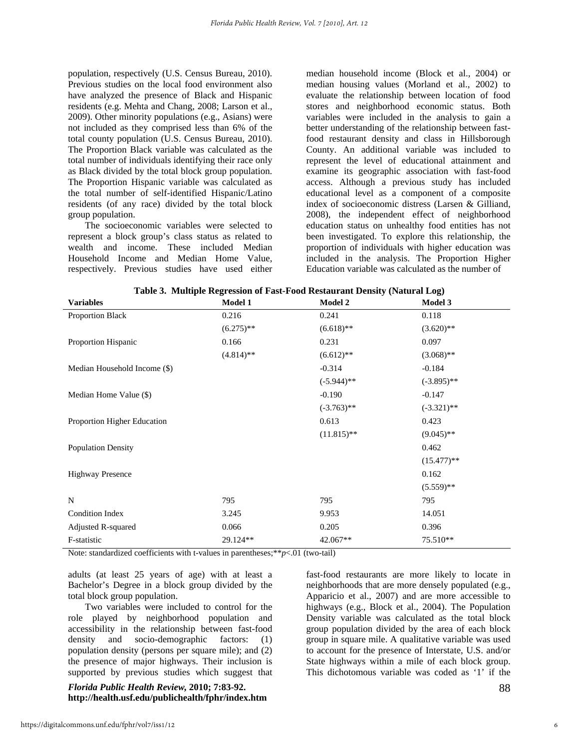population, respectively (U.S. Census Bureau, 2010). Previous studies on the local food environment also have analyzed the presence of Black and Hispanic residents (e.g. Mehta and Chang, 2008; Larson et al., 2009). Other minority populations (e.g., Asians) were not included as they comprised less than 6% of the total county population (U.S. Census Bureau, 2010). The Proportion Black variable was calculated as the total number of individuals identifying their race only as Black divided by the total block group population. The Proportion Hispanic variable was calculated as the total number of self-identified Hispanic/Latino residents (of any race) divided by the total block group population.

The socioeconomic variables were selected to represent a block group's class status as related to wealth and income. These included Median Household Income and Median Home Value, respectively. Previous studies have used either

median household income (Block et al., 2004) or median housing values (Morland et al., 2002) to evaluate the relationship between location of food stores and neighborhood economic status. Both variables were included in the analysis to gain a better understanding of the relationship between fastfood restaurant density and class in Hillsborough County. An additional variable was included to represent the level of educational attainment and examine its geographic association with fast-food access. Although a previous study has included educational level as a component of a composite index of socioeconomic distress (Larsen & Gilliand, 2008), the independent effect of neighborhood education status on unhealthy food entities has not been investigated. To explore this relationship, the proportion of individuals with higher education was included in the analysis. The Proportion Higher Education variable was calculated as the number of

| <b>Variables</b>             | <b>Model 1</b> | raoic or manapic regression or rase room restaurant behory (matural bog)<br><b>Model 2</b> | Model 3       |
|------------------------------|----------------|--------------------------------------------------------------------------------------------|---------------|
| Proportion Black             | 0.216          | 0.241                                                                                      | 0.118         |
|                              | $(6.275)$ **   | $(6.618)$ **                                                                               | $(3.620)$ **  |
| Proportion Hispanic          | 0.166          | 0.231                                                                                      | 0.097         |
|                              | $(4.814)$ **   | $(6.612)$ **                                                                               | $(3.068)$ **  |
| Median Household Income (\$) |                | $-0.314$                                                                                   | $-0.184$      |
|                              |                | $(-5.944)$ **                                                                              | $(-3.895)$ ** |
| Median Home Value (\$)       |                | $-0.190$                                                                                   | $-0.147$      |
|                              |                | $(-3.763)$ **                                                                              | $(-3.321)$ ** |
| Proportion Higher Education  |                | 0.613                                                                                      | 0.423         |
|                              |                | $(11.815)$ **                                                                              | $(9.045)$ **  |
| <b>Population Density</b>    |                |                                                                                            | 0.462         |
|                              |                |                                                                                            | $(15.477)**$  |
| <b>Highway Presence</b>      |                |                                                                                            | 0.162         |
|                              |                |                                                                                            | $(5.559)$ **  |
| N                            | 795            | 795                                                                                        | 795           |
| Condition Index              | 3.245          | 9.953                                                                                      | 14.051        |
| Adjusted R-squared           | 0.066          | 0.205                                                                                      | 0.396         |
| F-statistic                  | 29.124**       | 42.067**                                                                                   | 75.510**      |

| Table 3. Multiple Regression of Fast-Food Restaurant Density (Natural Log) |  |  |  |
|----------------------------------------------------------------------------|--|--|--|
|                                                                            |  |  |  |

Note: standardized coefficients with t-values in parentheses;\*\**p*<.01 (two-tail)

adults (at least 25 years of age) with at least a Bachelor's Degree in a block group divided by the total block group population.

Two variables were included to control for the role played by neighborhood population and accessibility in the relationship between fast-food density and socio-demographic factors: (1) population density (persons per square mile); and (2) the presence of major highways. Their inclusion is supported by previous studies which suggest that

### *Florida Public Health Review,* **2010; 7:83-92. http://health.usf.edu/publichealth/fphr/index.htm**

fast-food restaurants are more likely to locate in neighborhoods that are more densely populated (e.g., Apparicio et al., 2007) and are more accessible to highways (e.g., Block et al., 2004). The Population Density variable was calculated as the total block group population divided by the area of each block group in square mile. A qualitative variable was used to account for the presence of Interstate, U.S. and/or State highways within a mile of each block group. This dichotomous variable was coded as '1' if the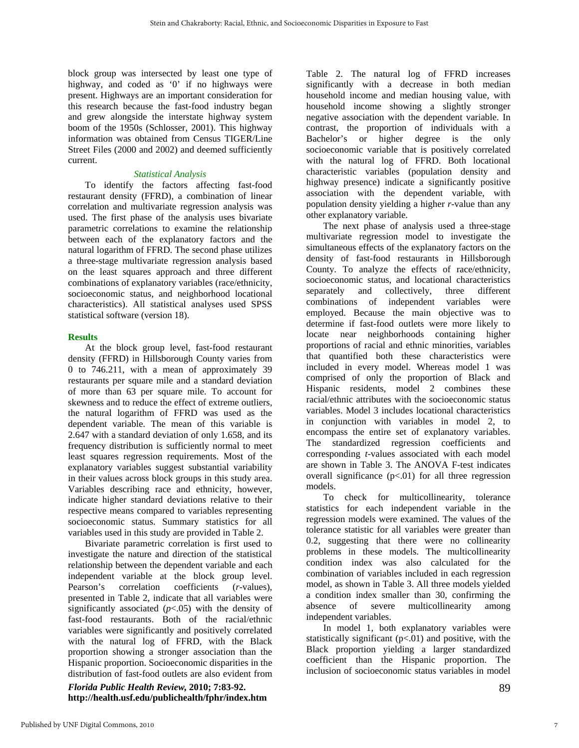block group was intersected by least one type of highway, and coded as '0' if no highways were present. Highways are an important consideration for this research because the fast-food industry began and grew alongside the interstate highway system boom of the 1950s (Schlosser, 2001). This highway information was obtained from Census TIGER/Line Street Files (2000 and 2002) and deemed sufficiently current.

#### *Statistical Analysis*

To identify the factors affecting fast-food restaurant density (FFRD), a combination of linear correlation and multivariate regression analysis was used. The first phase of the analysis uses bivariate parametric correlations to examine the relationship between each of the explanatory factors and the natural logarithm of FFRD. The second phase utilizes a three-stage multivariate regression analysis based on the least squares approach and three different combinations of explanatory variables (race/ethnicity, socioeconomic status, and neighborhood locational characteristics). All statistical analyses used SPSS statistical software (version 18).

#### **Results**

At the block group level, fast-food restaurant density (FFRD) in Hillsborough County varies from 0 to 746.211, with a mean of approximately 39 restaurants per square mile and a standard deviation of more than 63 per square mile. To account for skewness and to reduce the effect of extreme outliers, the natural logarithm of FFRD was used as the dependent variable. The mean of this variable is 2.647 with a standard deviation of only 1.658, and its frequency distribution is sufficiently normal to meet least squares regression requirements. Most of the explanatory variables suggest substantial variability in their values across block groups in this study area. Variables describing race and ethnicity, however, indicate higher standard deviations relative to their respective means compared to variables representing socioeconomic status. Summary statistics for all variables used in this study are provided in Table 2.

Bivariate parametric correlation is first used to investigate the nature and direction of the statistical relationship between the dependent variable and each independent variable at the block group level. Pearson's correlation coefficients (*r*-values), presented in Table 2, indicate that all variables were significantly associated  $(p<.05)$  with the density of fast-food restaurants. Both of the racial/ethnic variables were significantly and positively correlated with the natural log of FFRD, with the Black proportion showing a stronger association than the Hispanic proportion. Socioeconomic disparities in the distribution of fast-food outlets are also evident from

*Florida Public Health Review,* **2010; 7:83-92. http://health.usf.edu/publichealth/fphr/index.htm**  Table 2. The natural log of FFRD increases significantly with a decrease in both median household income and median housing value, with household income showing a slightly stronger negative association with the dependent variable. In contrast, the proportion of individuals with a Bachelor's or higher degree is the only socioeconomic variable that is positively correlated with the natural log of FFRD. Both locational characteristic variables (population density and highway presence) indicate a significantly positive association with the dependent variable, with population density yielding a higher *r*-value than any other explanatory variable.

The next phase of analysis used a three-stage multivariate regression model to investigate the simultaneous effects of the explanatory factors on the density of fast-food restaurants in Hillsborough County. To analyze the effects of race/ethnicity, socioeconomic status, and locational characteristics separately and collectively, three different combinations of independent variables were employed. Because the main objective was to determine if fast-food outlets were more likely to locate near neighborhoods containing higher proportions of racial and ethnic minorities, variables that quantified both these characteristics were included in every model. Whereas model 1 was comprised of only the proportion of Black and Hispanic residents, model 2 combines these racial/ethnic attributes with the socioeconomic status variables. Model 3 includes locational characteristics in conjunction with variables in model 2, to encompass the entire set of explanatory variables. The standardized regression coefficients and corresponding *t*-values associated with each model are shown in Table 3. The ANOVA F-test indicates overall significance  $(p<0.01)$  for all three regression models.

To check for multicollinearity, tolerance statistics for each independent variable in the regression models were examined. The values of the tolerance statistic for all variables were greater than 0.2, suggesting that there were no collinearity problems in these models. The multicollinearity condition index was also calculated for the combination of variables included in each regression model, as shown in Table 3. All three models yielded a condition index smaller than 30, confirming the absence of severe multicollinearity among independent variables.

In model 1, both explanatory variables were statistically significant  $(p<.01)$  and positive, with the Black proportion yielding a larger standardized coefficient than the Hispanic proportion. The inclusion of socioeconomic status variables in model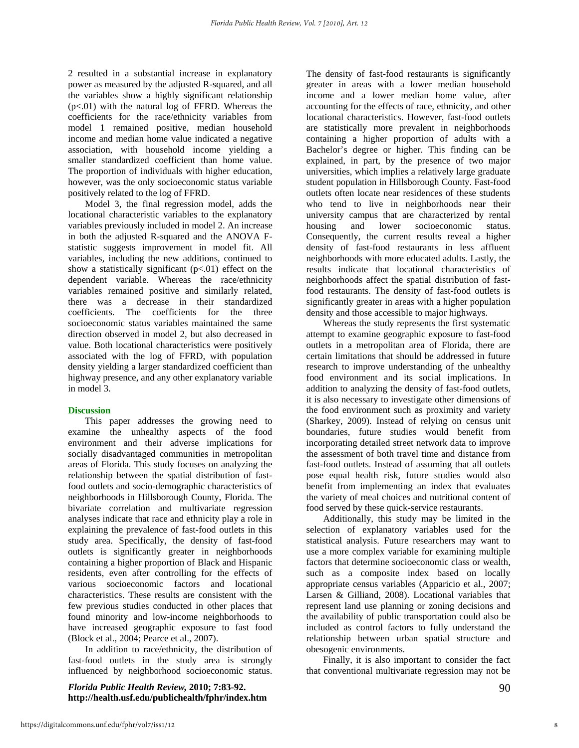2 resulted in a substantial increase in explanatory power as measured by the adjusted R-squared, and all the variables show a highly significant relationship (p<.01) with the natural log of FFRD. Whereas the coefficients for the race/ethnicity variables from model 1 remained positive, median household income and median home value indicated a negative association, with household income yielding a smaller standardized coefficient than home value. The proportion of individuals with higher education, however, was the only socioeconomic status variable positively related to the log of FFRD.

Model 3, the final regression model, adds the locational characteristic variables to the explanatory variables previously included in model 2. An increase in both the adjusted R-squared and the ANOVA Fstatistic suggests improvement in model fit. All variables, including the new additions, continued to show a statistically significant  $(p<.01)$  effect on the dependent variable. Whereas the race/ethnicity variables remained positive and similarly related, there was a decrease in their standardized coefficients. The coefficients for the three socioeconomic status variables maintained the same direction observed in model 2, but also decreased in value. Both locational characteristics were positively associated with the log of FFRD, with population density yielding a larger standardized coefficient than highway presence, and any other explanatory variable in model 3.

#### **Discussion**

This paper addresses the growing need to examine the unhealthy aspects of the food environment and their adverse implications for socially disadvantaged communities in metropolitan areas of Florida. This study focuses on analyzing the relationship between the spatial distribution of fastfood outlets and socio-demographic characteristics of neighborhoods in Hillsborough County, Florida. The bivariate correlation and multivariate regression analyses indicate that race and ethnicity play a role in explaining the prevalence of fast-food outlets in this study area. Specifically, the density of fast-food outlets is significantly greater in neighborhoods containing a higher proportion of Black and Hispanic residents, even after controlling for the effects of various socioeconomic factors and locational characteristics. These results are consistent with the few previous studies conducted in other places that found minority and low-income neighborhoods to have increased geographic exposure to fast food (Block et al., 2004; Pearce et al., 2007).

In addition to race/ethnicity, the distribution of fast-food outlets in the study area is strongly influenced by neighborhood socioeconomic status.

*Florida Public Health Review,* **2010; 7:83-92. http://health.usf.edu/publichealth/fphr/index.htm**  The density of fast-food restaurants is significantly greater in areas with a lower median household income and a lower median home value, after accounting for the effects of race, ethnicity, and other locational characteristics. However, fast-food outlets are statistically more prevalent in neighborhoods containing a higher proportion of adults with a Bachelor's degree or higher. This finding can be explained, in part, by the presence of two major universities, which implies a relatively large graduate student population in Hillsborough County. Fast-food outlets often locate near residences of these students who tend to live in neighborhoods near their university campus that are characterized by rental housing and lower socioeconomic status. Consequently, the current results reveal a higher density of fast-food restaurants in less affluent neighborhoods with more educated adults. Lastly, the results indicate that locational characteristics of neighborhoods affect the spatial distribution of fastfood restaurants. The density of fast-food outlets is significantly greater in areas with a higher population density and those accessible to major highways.

Whereas the study represents the first systematic attempt to examine geographic exposure to fast-food outlets in a metropolitan area of Florida, there are certain limitations that should be addressed in future research to improve understanding of the unhealthy food environment and its social implications. In addition to analyzing the density of fast-food outlets, it is also necessary to investigate other dimensions of the food environment such as proximity and variety (Sharkey, 2009). Instead of relying on census unit boundaries, future studies would benefit from incorporating detailed street network data to improve the assessment of both travel time and distance from fast-food outlets. Instead of assuming that all outlets pose equal health risk, future studies would also benefit from implementing an index that evaluates the variety of meal choices and nutritional content of food served by these quick-service restaurants.

Additionally, this study may be limited in the selection of explanatory variables used for the statistical analysis. Future researchers may want to use a more complex variable for examining multiple factors that determine socioeconomic class or wealth, such as a composite index based on locally appropriate census variables (Apparicio et al., 2007; Larsen & Gilliand, 2008). Locational variables that represent land use planning or zoning decisions and the availability of public transportation could also be included as control factors to fully understand the relationship between urban spatial structure and obesogenic environments.

Finally, it is also important to consider the fact that conventional multivariate regression may not be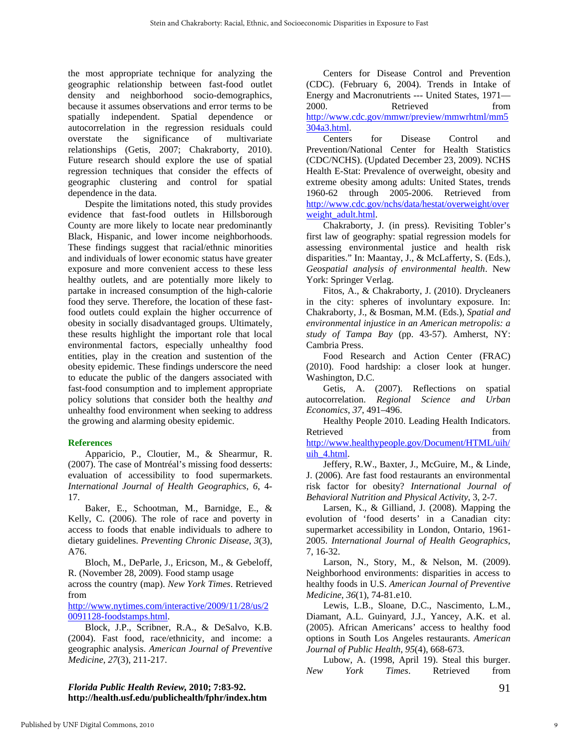the most appropriate technique for analyzing the geographic relationship between fast-food outlet density and neighborhood socio-demographics, because it assumes observations and error terms to be spatially independent. Spatial dependence or autocorrelation in the regression residuals could overstate the significance of multivariate relationships (Getis, 2007; Chakraborty, 2010). Future research should explore the use of spatial regression techniques that consider the effects of geographic clustering and control for spatial dependence in the data.

Despite the limitations noted, this study provides evidence that fast-food outlets in Hillsborough County are more likely to locate near predominantly Black, Hispanic, and lower income neighborhoods. These findings suggest that racial/ethnic minorities and individuals of lower economic status have greater exposure and more convenient access to these less healthy outlets, and are potentially more likely to partake in increased consumption of the high-calorie food they serve. Therefore, the location of these fastfood outlets could explain the higher occurrence of obesity in socially disadvantaged groups. Ultimately, these results highlight the important role that local environmental factors, especially unhealthy food entities, play in the creation and sustention of the obesity epidemic. These findings underscore the need to educate the public of the dangers associated with fast-food consumption and to implement appropriate policy solutions that consider both the healthy *and* unhealthy food environment when seeking to address the growing and alarming obesity epidemic.

#### **References**

Apparicio, P., Cloutier, M., & Shearmur, R. (2007). The case of Montréal's missing food desserts: evaluation of accessibility to food supermarkets. *International Journal of Health Geographics*, *6*, 4- 17.

Baker, E., Schootman, M., Barnidge, E., & Kelly, C. (2006). The role of race and poverty in access to foods that enable individuals to adhere to dietary guidelines. *Preventing Chronic Disease*, *3*(3), A76.

Bloch, M., DeParle, J., Ericson, M., & Gebeloff, R. (November 28, 2009). Food stamp usage

across the country (map). *New York Times*. Retrieved from

[http://www.nytimes.com/interactive/2009/11/28/us/2](http://www.nytimes.com/interactive/2009/11/28/us/20091128-foodstamps.html) [0091128-foodstamps.html](http://www.nytimes.com/interactive/2009/11/28/us/20091128-foodstamps.html).

Block, J.P., Scribner, R.A., & DeSalvo, K.B. (2004). Fast food, race/ethnicity, and income: a geographic analysis. *American Journal of Preventive Medicine*, *27*(3), 211-217.

#### *Florida Public Health Review,* **2010; 7:83-92. http://health.usf.edu/publichealth/fphr/index.htm**

Centers for Disease Control and Prevention (CDC). (February 6, 2004). Trends in Intake of Energy and Macronutrients --- United States, 1971— 2000. Retrieved from [http://www.cdc.gov/mmwr/preview/mmwrhtml/mm5](http://www.cdc.gov/mmwr/preview/mmwrhtml/mm5304a3.html) [304a3.html](http://www.cdc.gov/mmwr/preview/mmwrhtml/mm5304a3.html).

Centers for Disease Control and Prevention/National Center for Health Statistics (CDC/NCHS). (Updated December 23, 2009). NCHS Health E-Stat: Prevalence of overweight, obesity and extreme obesity among adults: United States, trends 1960-62 through 2005-2006. Retrieved from [http://www.cdc.gov/nchs/data/hestat/overweight/over](http://www.cdc.gov/nchs/data/hestat/overweight/overweight_adult.html) [weight\\_adult.html.](http://www.cdc.gov/nchs/data/hestat/overweight/overweight_adult.html)

Chakraborty, J. (in press). Revisiting Tobler's first law of geography: spatial regression models for assessing environmental justice and health risk disparities." In: Maantay, J., & McLafferty, S. (Eds.), *Geospatial analysis of environmental health*. New York: Springer Verlag.

Fitos, A., & Chakraborty, J. (2010). Drycleaners in the city: spheres of involuntary exposure. In: Chakraborty, J., & Bosman, M.M. (Eds.), *Spatial and environmental injustice in an American metropolis: a study of Tampa Bay* (pp. 43-57). Amherst, NY: Cambria Press.

Food Research and Action Center (FRAC) (2010). Food hardship: a closer look at hunger. Washington, D.C.

Getis, A. (2007). Reflections on spatial autocorrelation. *Regional Science and Urban Economics*, *37*, 491–496.

Healthy People 2010. Leading Health Indicators. Retrieved from the state of  $\sim$ [http://www.healthypeople.gov/Document/HTML/uih/](http://www.healthypeople.gov/Document/HTML/uih/uih_4.html) [uih\\_4.html.](http://www.healthypeople.gov/Document/HTML/uih/uih_4.html)

Jeffery, R.W., Baxter, J., McGuire, M., & Linde, J. (2006). Are fast food restaurants an environmental risk factor for obesity? *International Journal of Behavioral Nutrition and Physical Activity*, 3, 2-7.

Larsen, K., & Gilliand, J. (2008). Mapping the evolution of 'food deserts' in a Canadian city: supermarket accessibility in London, Ontario, 1961- 2005. *International Journal of Health Geographics*, 7, 16-32.

Larson, N., Story, M., & Nelson, M. (2009). Neighborhood environments: disparities in access to healthy foods in U.S. *American Journal of Preventive Medicine*, *36*(1), 74-81.e10.

Lewis, L.B., Sloane, D.C., Nascimento, L.M., Diamant, A.L. Guinyard, J.J., Yancey, A.K. et al. (2005). African Americans' access to healthy food options in South Los Angeles restaurants. *American Journal of Public Health*, *95*(4), 668-673.

Lubow, A. (1998, April 19). Steal this burger. *New York Times*. Retrieved from

91